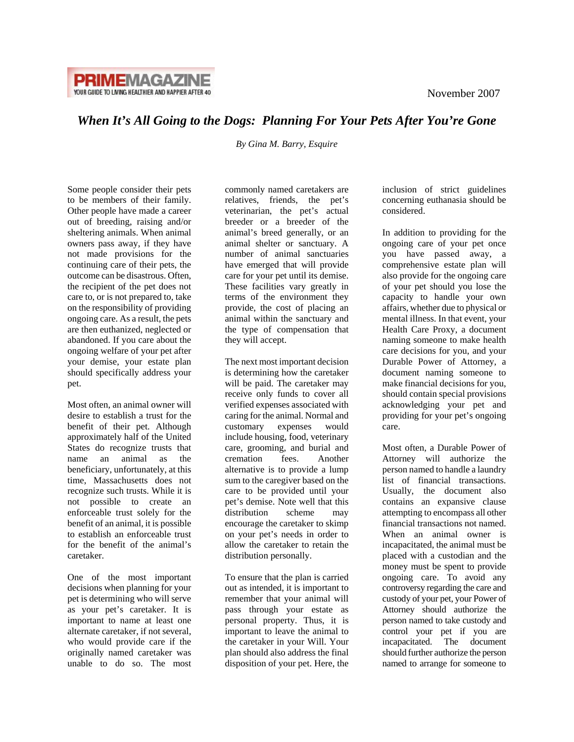

## *When It's All Going to the Dogs: Planning For Your Pets After You're Gone*

*[By Gina M. Barry, Esquire](http://www.baconwilson.com/attorney_directory_detail.epl?attorney_id=11)* 

Some people consider their pets to be members of their family. Other people have made a career out of breeding, raising and/or sheltering animals. When animal owners pass away, if they have not made provisions for the continuing care of their pets, the outcome can be disastrous. Often, the recipient of the pet does not care to, or is not prepared to, take on the responsibility of providing ongoing care. As a result, the pets are then euthanized, neglected or abandoned. If you care about the ongoing welfare of your pet after your demise, your estate plan should specifically address your pet.

Most often, an animal owner will desire to establish a trust for the benefit of their pet. Although approximately half of the United States do recognize trusts that name an animal as the beneficiary, unfortunately, at this time, Massachusetts does not recognize such trusts. While it is not possible to create an enforceable trust solely for the benefit of an animal, it is possible to establish an enforceable trust for the benefit of the animal's caretaker.

One of the most important decisions when planning for your pet is determining who will serve as your pet's caretaker. It is important to name at least one alternate caretaker, if not several, who would provide care if the originally named caretaker was unable to do so. The most

commonly named caretakers are relatives, friends, the pet's veterinarian, the pet's actual breeder or a breeder of the animal's breed generally, or an animal shelter or sanctuary. A number of animal sanctuaries have emerged that will provide care for your pet until its demise. These facilities vary greatly in terms of the environment they provide, the cost of placing an animal within the sanctuary and the type of compensation that they will accept.

The next most important decision is determining how the caretaker will be paid. The caretaker may receive only funds to cover all verified expenses associated with caring for the animal. Normal and customary expenses would include housing, food, veterinary care, grooming, and burial and cremation fees. Another alternative is to provide a lump sum to the caregiver based on the care to be provided until your pet's demise. Note well that this distribution scheme may encourage the caretaker to skimp on your pet's needs in order to allow the caretaker to retain the distribution personally.

To ensure that the plan is carried out as intended, it is important to remember that your animal will pass through your estate as personal property. Thus, it is important to leave the animal to the caretaker in your Will. Your plan should also address the final disposition of your pet. Here, the

inclusion of strict guidelines concerning euthanasia should be considered.

In addition to providing for the ongoing care of your pet once you have passed away, a comprehensive estate plan will also provide for the ongoing care of your pet should you lose the capacity to handle your own affairs, whether due to physical or mental illness. In that event, your Health Care Proxy, a document naming someone to make health care decisions for you, and your Durable Power of Attorney, a document naming someone to make financial decisions for you, should contain special provisions acknowledging your pet and providing for your pet's ongoing care.

Most often, a Durable Power of Attorney will authorize the person named to handle a laundry list of financial transactions. Usually, the document also contains an expansive clause attempting to encompass all other financial transactions not named. When an animal owner is incapacitated, the animal must be placed with a custodian and the money must be spent to provide ongoing care. To avoid any controversy regarding the care and custody of your pet, your Power of Attorney should authorize the person named to take custody and control your pet if you are incapacitated. The document should further authorize the person named to arrange for someone to